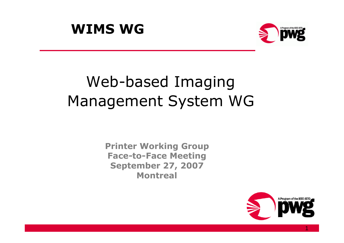



# Web-based Imaging Management System WG

**Printer Working Group Face-to-Face Meeting September 27, 2007 Montreal**



1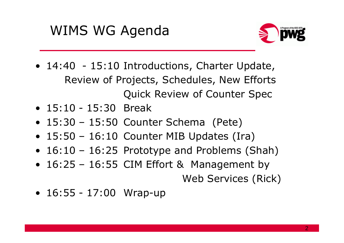## WIMS WG Agenda



- 14:40 15:10 Introductions, Charter Update, Review of Projects, Schedules, New Efforts Quick Review of Counter Spec
- 15:10 15:30 Break
- 15:30 15:50 Counter Schema (Pete)
- 15:50 16:10 Counter MIB Updates (Ira)
- 16:10 16:25 Prototype and Problems (Shah)
- 16:25 16:55 CIM Effort & Management by Web Services (Rick)
- 16:55 17:00 Wrap-up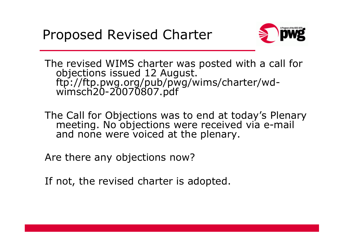

The revised WIMS charter was posted with a call for objections issued 12 August. ftp://ftp.pwg.org/pub/pwg/wims/charter/wdwimsch20-20070807.pdf

The Call for Objections was to end at today's Plenary meeting. No objections were received via e-mail and none were voiced at the plenary.

Are there any objections now?

If not, the revised charter is adopted.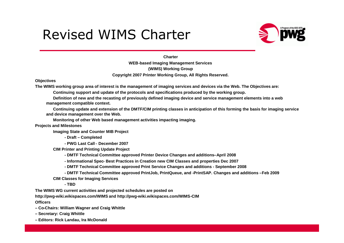### Revised WIMS Charter



**Charter WEB-based Imaging Management Services (WIMS) Working Group Copyright 2007 Printer Working Group, All Rights Reserved.**

#### **Objectives**

**The WIMS working group area of interest is the management of imaging services and devices via the Web. The Objectives are:**

**Continuing support and update of the protocols and specifications produced by the working group.**

**Definition of new and the recasting of previously defined imaging device and service management elements into a web management compatible context.**

**Continuing update and extension of the DMTF/CIM printing classes in anticipation of this forming the basis for imaging service and device management over the Web.**

**Monitoring of other Web based management activities impacting imaging.**

**Projects and Milestones**

**Imaging State and Counter MIB Project**

- **- Draft – Completed**
- **- PWG Last Call - December 2007**

**CIM Printer and Printing Update Project**

**- DMTF Technical Committee approved Printer Device Changes and additions–April 2008**

**- Informational Spec- Best Practices in Creation new CIM Classes and properties Dec 2007**

**- DMTF Technical Committee approved Print Service Changes and additions - September 2008**

**- DMTF Technical Committee approved PrintJob, PrintQueue, and -PrintSAP. Changes and additions –Feb 2009**

**CIM Classes for Imaging Services**

**- TBD**

**The WIMS WG current activities and projected schedules are posted on**

**http://pwg-wiki.wikispaces.com/WIMS and http://pwg-wiki.wikispaces.com/WIMS-CIM**

**Officers**

- **– Co-Chairs: William Wagner and Craig Whittle**
- **– Secretary: Craig Whittle**
- **– Editors: Rick Landau, Ira McDonald**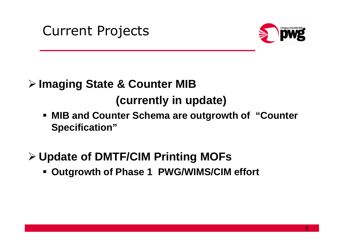Current Projects



#### **Imaging State & Counter MIB**

**(currently in update)**

- **MIB and Counter Schema are outgrowth of "Counter Specification"**
- **Update of DMTF/CIM Printing MOFs**
	- **Outgrowth of Phase 1 PWG/WIMS/CIM effort**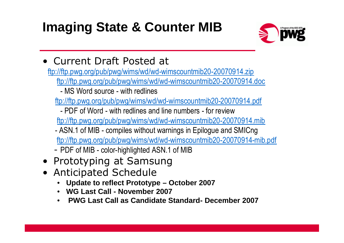## **Imaging State & Counter MIB**



• Current Draft Posted at

ftp://ftp.pwg.org/pub/pwg/wims/wd/wd-wimscountmib20-20070914.zip ftp://ftp.pwg.org/pub/pwg/wims/wd/wd-wimscountmib20-20070914.doc

- MS Word source - with redlines

ftp://ftp.pwg.org/pub/pwg/wims/wd/wd-wimscountmib20-20070914.pdf

- PDF of Word - with redlines and line numbers - for review

ftp://ftp.pwg.org/pub/pwg/wims/wd/wd-wimscountmib20-20070914.mib

- ASN.1 of MIB compiles without warnings in Epilogue and SMICng ftp://ftp.pwg.org/pub/pwg/wims/wd/wd-wimscountmib20-20070914-mib.pdf
- PDF of MIB color-highlighted ASN.1 of MIB
- Prototyping at Samsung
- Anticipated Schedule
	- **Update to reflect Prototype – October 2007**
	- **WG Last Call - November 2007**
	- **PWG Last Call as Candidate Standard- December 2007**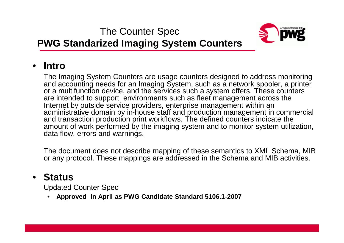The Counter Spec



#### **PWG Standarized Imaging System Counters**

#### • **Intro**

The Imaging System Counters are usage counters designed to address monitoring and accounting needs for an Imaging System, such as a network spooler, a printer or a multifunction device, and the services such a system offers. These counters are intended to support environments such as fleet management across the Internet by outside service providers, enterprise management within an administrative domain by in-house staff and production management in commercial and transaction production print workflows. The defined counters indicate the amount of work performed by the imaging system and to monitor system utilization, data flow, errors and warnings.

The document does not describe mapping of these semantics to XML Schema, MIB or any protocol. These mappings are addressed in the Schema and MIB activities.

#### • **Status**

Updated Counter Spec

• **Approved in April as PWG Candidate Standard 5106.1-2007**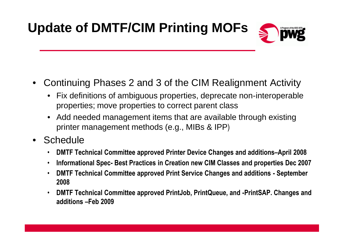## **Update of DMTF/CIM Printing MOFs**



- Continuing Phases 2 and 3 of the CIM Realignment Activity
	- Fix definitions of ambiguous properties, deprecate non-interoperable properties; move properties to correct parent class
	- Add needed management items that are available through existing printer management methods (e.g., MIBs & IPP)
- Schedule
	- **DMTF Technical Committee approved Printer Device Changes and additions–April 2008**
	- **Informational Spec- Best Practices in Creation new CIM Classes and properties Dec 2007**
	- **DMTF Technical Committee approved Print Service Changes and additions - September 2008**
	- **DMTF Technical Committee approved PrintJob, PrintQueue, and -PrintSAP. Changes and additions –Feb 2009**